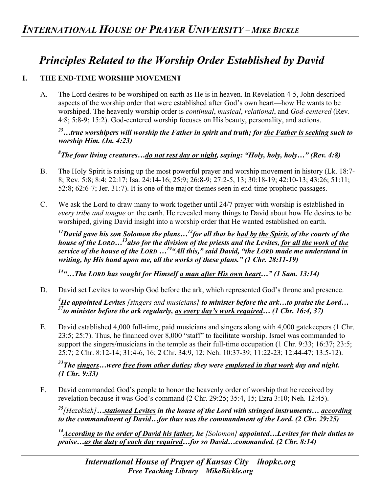## *Principles Related to the Worship Order Established by David*

## **I. THE END-TIME WORSHIP MOVEMENT**

A. The Lord desires to be worshiped on earth as He is in heaven. In Revelation 4-5, John described aspects of the worship order that were established after God's own heart—how He wants to be worshiped. The heavenly worship order is *continual*, *musical*, *relational*, and *God-centered* (Rev. 4:8; 5:8-9; 15:2). God-centered worship focuses on His beauty, personality, and actions.

*23…true worshipers will worship the Father in spirit and truth; for the Father is seeking such to worship Him. (Jn. 4:23)*

*8 The four living creatures…do not rest day or night, saying: "Holy, holy, holy…" (Rev. 4:8)* 

- B. The Holy Spirit is raising up the most powerful prayer and worship movement in history (Lk. 18:7- 8; Rev. 5:8; 8:4; 22:17; Isa. 24:14-16; 25:9; 26:8-9; 27:2-5, 13; 30:18-19; 42:10-13; 43:26; 51:11; 52:8; 62:6-7; Jer. 31:7). It is one of the major themes seen in end-time prophetic passages.
- C. We ask the Lord to draw many to work together until 24/7 prayer with worship is established in *every tribe and tongue* on the earth. He revealed many things to David about how He desires to be worshiped, giving David insight into a worship order that He wanted established on earth.

*11David gave his son Solomon the plans…12for all that he had by the Spirit, of the courts of the house of the LORD…13also for the division of the priests and the Levites, for all the work of the service of the house of the LORD …19"All this," said David, "the LORD made me understand in writing, by His hand upon me, all the works of these plans." (1 Chr. 28:11-19)* 

*14"…The LORD has sought for Himself a man after His own heart…" (1 Sam. 13:14)*

D. David set Levites to worship God before the ark, which represented God's throne and presence.

*4 He appointed Levites [singers and musicians] to minister before the ark…to praise the Lord… 37to minister before the ark regularly, as every day's work required… (1 Chr. 16:4, 37)* 

E. David established 4,000 full-time, paid musicians and singers along with 4,000 gatekeepers (1 Chr. 23:5; 25:7). Thus, he financed over 8,000 "staff" to facilitate worship. Israel was commanded to support the singers/musicians in the temple as their full-time occupation (1 Chr. 9:33; 16:37; 23:5; 25:7; 2 Chr. 8:12-14; 31:4-6, 16; 2 Chr. 34:9, 12; Neh. 10:37-39; 11:22-23; 12:44-47; 13:5-12).

*33The singers…were free from other duties; they were employed in that work day and night. (1 Chr. 9:33)* 

F. David commanded God's people to honor the heavenly order of worship that he received by revelation because it was God's command (2 Chr. 29:25; 35:4, 15; Ezra 3:10; Neh. 12:45).

*<sup>25</sup>[Hezekiah]…stationed Levites in the house of the Lord with stringed instruments… according to the commandment of David…for thus was the commandment of the Lord. (2 Chr. 29:25)* 

*14According to the order of David his father, he [Solomon] appointed…Levites for their duties to praise…as the duty of each day required…for so David…commanded. (2 Chr. 8:14)*